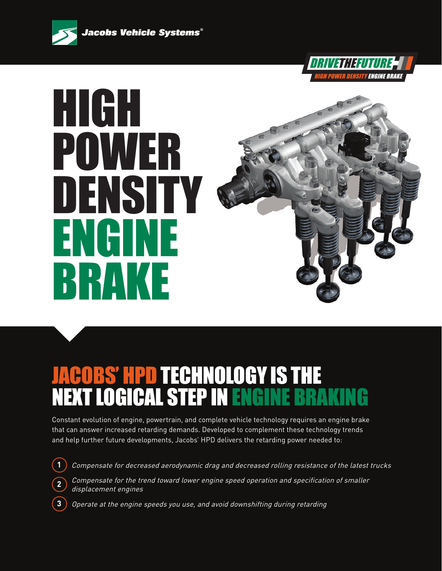



# HIGH POWER DENSITY ENGINE BRAKE

## JACOBS' HPD TECHNOLOGY IS THE **NEXT LOGICAL STEP IN ENGINE BRAKIN**

Constant evolution of engine, powertrain, and complete vehicle technology requires an engine brake that can answer increased retarding demands. Developed to complement these technology trends and help further future developments, Jacobs' HPD delivers the retarding power needed to:

- **1** Compensate for decreased aerodynamic drag and decreased rolling resistance of the latest trucks
	- Compensate for the trend toward lower engine speed operation and specification of smaller displacement engines
	- Operate at the engine speeds you use, and avoid downshifting during retarding

**2**

**3**